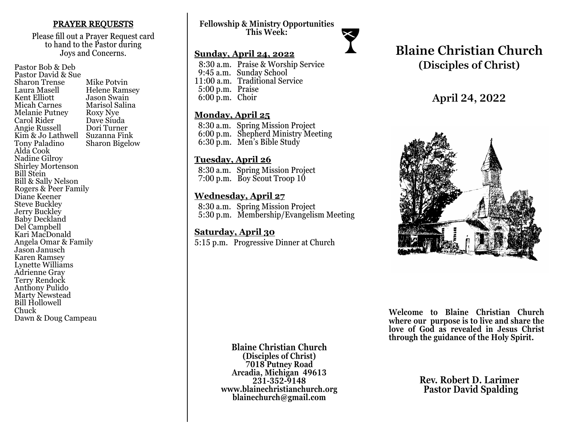### PRAYER REQUESTS

Please fill out a Prayer Request card to hand to the Pastor during Joys and Concerns.

Pastor Bob & Deb Pastor David & Sue Sharon Trense Mike Potvin<br>Laura Masell Helene Ram Laura Masell Helene Ramsey<br>Kent Elliott Jason Swain Kent Elliott Jason Swain<br>
Micah Carnes Marisol Salir Marisol Salina<br>Roxy Nye Melanie Putney Roxy Nye<br>Carol Rider Dave Siuda Carol Rider Dave Siuda<br>
Angie Russell Dori Turner Angie Russell Kim & Jo Lathwell Suzanna Fink<br>Tony Paladino Sharon Bigelo **Sharon Bigelow** Alda Cook Nadine Gilroy Shirley Mortenson Bill Stein Bill & Sally Nelson Rogers & Peer Family Diane Keener Steve Buckley Jerry Buckley Baby Deckland Del Campbell Kari MacDonald Angela Omar & Family Jason Janusch Karen Ramsey Lynette Williams Adrienne Gray Terry Rendock Anthony Pulido Marty Newstead Bill Hollowell Chuck Dawn & Doug Campeau

**Fellowship & Ministry Opportunities This Week:**

### **Sunday, April 24, 2022**

 8:30 a.m. Praise & Worship Service 9:45 a.m. Sunday School 11:00 a.m. Traditional Service 5:00 p.m. Praise 6:00 p.m. Choir

### **Monday, April 25**

 8:30 a.m. Spring Mission Project 6:00 p.m. Shepherd Ministry Meeting 6:30 p.m. Men's Bible Study

## **Tuesday, April 26**

 8:30 a.m. Spring Mission Project 7:00 p.m. Boy Scout Troop 10

## **Wednesday, April 27**

 8:30 a.m. Spring Mission Project 5:30 p.m. Membership/Evangelism Meeting

## **Saturday, April 30**

5:15 p.m. Progressive Dinner at Church

# **Blaine Christian Church (Disciples of Christ)**

# **April 24, 2022**



**Welcome to Blaine Christian Church where our purpose is to live and share the love of God as revealed in Jesus Christ through the guidance of the Holy Spirit.**

**Blaine Christian Church (Disciples of Christ) 7018 Putney Road Arcadia, Michigan 49613 231-352-9148 www.blainechristianchurch.org blainechurch@gmail.com**

**Rev. Robert D. Larimer Pastor David Spalding**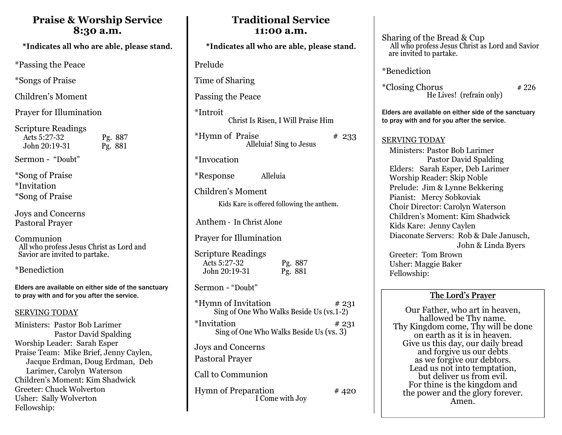## **Praise & Worship Service 8:30 a.m.**

\*Indicates all who are able, please stand.

\*Passing the Peace

\*Songs of Praise

Children's Moment

Prayer for Illumination

Scripture Readings Acts 5:27-32 Pg. 887<br>John 20:19-31 Pg. 881  $John 20:19-31$ 

Sermon - "Doubt"

\*Song of Praise \*Invitation \*Song of Praise

Joys and Concerns Pastoral Prayer

Communion All who profess Jesus Christ as Lord and Savior are invited to partake.

\*Benediction

Elders are available on either side of the sanctuary to pray with and for you after the service.

### SERVING TODAY

Ministers: Pastor Bob Larimer Pastor David Spalding Worship Leader: Sarah Esper Praise Team: Mike Brief, Jenny Caylen, Jacque Erdman, Doug Erdman, Deb Larimer, Carolyn Waterson Children's Moment: Kim Shadwick Greeter: Chuck Wolverton Usher: Sally Wolverton Fellowship:

| *Indicates all who are able, please stand.                                       |
|----------------------------------------------------------------------------------|
| Prelude                                                                          |
| Time of Sharing                                                                  |
| Passing the Peace                                                                |
| *Introit<br>Christ Is Risen, I Will Praise Him                                   |
| *Hymn of Praise<br># 233<br>Alleluia! Sing to Jesus                              |
| *Invocation                                                                      |
| Alleluia<br>*Response                                                            |
| Children's Moment<br>Kids Kare is offered following the anthem.                  |
| Anthem - In Christ Alone                                                         |
| <b>Prayer for Illumination</b>                                                   |
| <b>Scripture Readings</b><br>Acts 5:27-32<br>Pg. 887<br>John 20:19-31<br>Pg. 881 |
| Sermon - "Doubt"                                                                 |
| *Hymn of Invitation<br># 231<br>Sing of One Who Walks Beside Us (vs.1-2)         |
| *Invitation<br># 231<br>Sing of One Who Walks Beside Us (vs. 3)                  |
| Joys and Concerns<br><b>Pastoral Prayer</b>                                      |
| Call to Communion                                                                |
| <b>Hymn of Preparation</b><br>#420<br>I Come with Joy                            |

**Traditional Service 11:00 a.m.** 

Sharing of the Bread & Cup All who profess Jesus Christ as Lord and Savior are invited to partake.

\*Benediction

 $*Closing Chorus$   $*226$ He Lives! (refrain only)

Elders are available on either side of the sanctuary to pray with and for you after the service.

## SERVING TODAY

 Ministers: Pastor Bob Larimer Pastor David Spalding Elders: Sarah Esper, Deb Larimer Worship Reader: Skip Noble Prelude: Jim & Lynne Bekkering Pianist: Mercy Sobkoviak Choir Director: Carolyn Waterson Children's Moment: Kim Shadwick Kids Kare: Jenny Caylen Diaconate Servers: Rob & Dale Janusch, John & Linda Byers Greeter: Tom Brown Usher: Maggie Baker Fellowship:

## **The Lord's Prayer**

Our Father, who art in heaven, hallowed be Thy name. Thy Kingdom come, Thy will be done on earth as it is in heaven. Give us this day, our daily bread and forgive us our debts as we forgive our debtors. Lead us not into temptation, but deliver us from evil. For thine is the kingdom and the power and the glory forever. Amen.